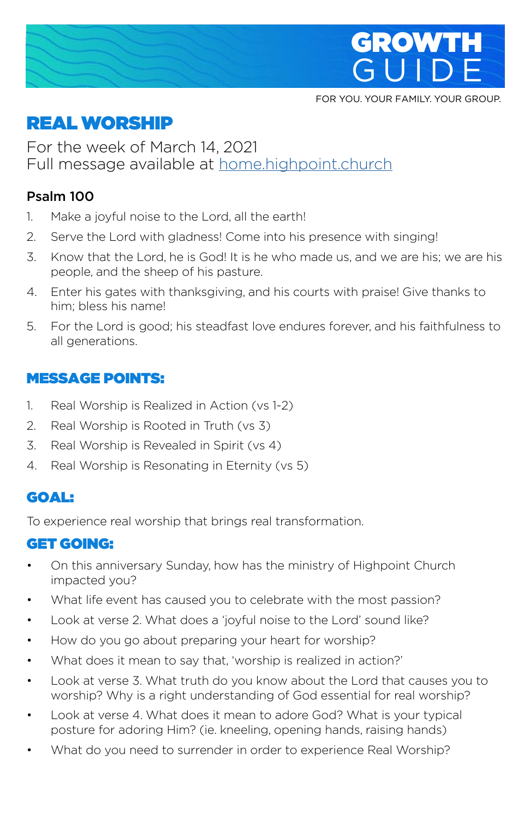

FOR YOU. YOUR FAMILY. YOUR GROUP.

# REAL WORSHIP

For the week of March 14, 2021 Full message available at home.highpoint.church

## Psalm 100

- 1. Make a joyful noise to the Lord, all the earth!
- 2. Serve the Lord with gladness! Come into his presence with singing!
- 3. Know that the Lord, he is God! It is he who made us, and we are his; we are his people, and the sheep of his pasture.
- 4. Enter his gates with thanksgiving, and his courts with praise! Give thanks to him; bless his name!
- 5. For the Lord is good; his steadfast love endures forever, and his faithfulness to all generations.

## MESSAGE POINTS:

- 1. Real Worship is Realized in Action (vs 1-2)
- 2. Real Worship is Rooted in Truth (vs 3)
- 3. Real Worship is Revealed in Spirit (vs 4)
- 4. Real Worship is Resonating in Eternity (vs 5)

## GOAL:

To experience real worship that brings real transformation.

## GET GOING:

- On this anniversary Sunday, how has the ministry of Highpoint Church impacted you?
- What life event has caused you to celebrate with the most passion?
- Look at verse 2. What does a 'joyful noise to the Lord' sound like?
- How do you go about preparing your heart for worship?
- What does it mean to say that, 'worship is realized in action?'
- Look at verse 3. What truth do you know about the Lord that causes you to worship? Why is a right understanding of God essential for real worship?
- Look at verse 4. What does it mean to adore God? What is your typical posture for adoring Him? (ie. kneeling, opening hands, raising hands)
- What do you need to surrender in order to experience Real Worship?